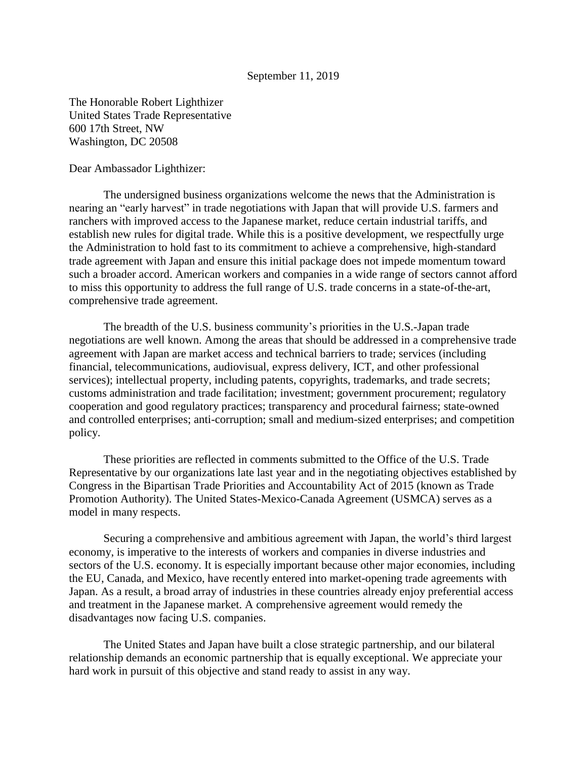## September 11, 2019

The Honorable Robert Lighthizer United States Trade Representative 600 17th Street, NW Washington, DC 20508

Dear Ambassador Lighthizer:

The undersigned business organizations welcome the news that the Administration is nearing an "early harvest" in trade negotiations with Japan that will provide U.S. farmers and ranchers with improved access to the Japanese market, reduce certain industrial tariffs, and establish new rules for digital trade. While this is a positive development, we respectfully urge the Administration to hold fast to its commitment to achieve a comprehensive, high-standard trade agreement with Japan and ensure this initial package does not impede momentum toward such a broader accord. American workers and companies in a wide range of sectors cannot afford to miss this opportunity to address the full range of U.S. trade concerns in a state-of-the-art, comprehensive trade agreement.

The breadth of the U.S. business community's priorities in the U.S.-Japan trade negotiations are well known. Among the areas that should be addressed in a comprehensive trade agreement with Japan are market access and technical barriers to trade; services (including financial, telecommunications, audiovisual, express delivery, ICT, and other professional services); intellectual property, including patents, copyrights, trademarks, and trade secrets; customs administration and trade facilitation; investment; government procurement; regulatory cooperation and good regulatory practices; transparency and procedural fairness; state-owned and controlled enterprises; anti-corruption; small and medium-sized enterprises; and competition policy.

These priorities are reflected in comments submitted to the Office of the U.S. Trade Representative by our organizations late last year and in the negotiating objectives established by Congress in the Bipartisan Trade Priorities and Accountability Act of 2015 (known as Trade Promotion Authority). The United States-Mexico-Canada Agreement (USMCA) serves as a model in many respects.

Securing a comprehensive and ambitious agreement with Japan, the world's third largest economy, is imperative to the interests of workers and companies in diverse industries and sectors of the U.S. economy. It is especially important because other major economies, including the EU, Canada, and Mexico, have recently entered into market-opening trade agreements with Japan. As a result, a broad array of industries in these countries already enjoy preferential access and treatment in the Japanese market. A comprehensive agreement would remedy the disadvantages now facing U.S. companies.

The United States and Japan have built a close strategic partnership, and our bilateral relationship demands an economic partnership that is equally exceptional. We appreciate your hard work in pursuit of this objective and stand ready to assist in any way.